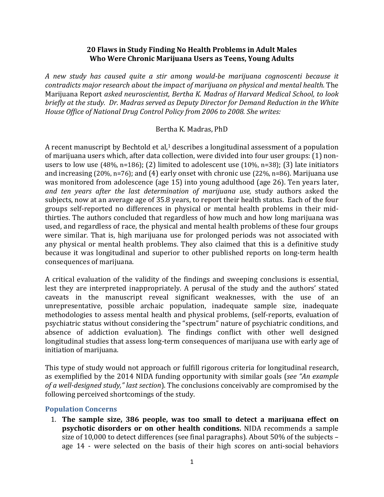## **20 Flaws in Study Finding No Health Problems in Adult Males Who Were Chronic Marijuana Users as Teens, Young Adults**

*A new study has caused quite a stir among would-be marijuana cognoscenti because it contradicts major research about the impact of marijuana on physical and mental health.* The Marijuana Report *asked neuroscientist, Bertha K. Madras of Harvard Medical School, to look briefly at the study. Dr. Madras served as Deputy Director for Demand Reduction in the White House Office of National Drug Control Policy from 2006 to 2008. She writes:*

## Bertha K. Madras, PhD

A recent manuscript by Bechtold et al, <sup>1</sup> describes a longitudinal assessment of a population of marijuana users which, after data collection, were divided into four user groups: (1) nonusers to low use (48%, n=186); (2) limited to adolescent use (10%, n=38); (3) late initiators and increasing (20%, n=76); and (4) early onset with chronic use (22%, n=86). Marijuana use was monitored from adolescence (age 15) into young adulthood (age 26). Ten years later, *and ten years after the last determination of marijuana use,* study authors asked the subjects, now at an average age of 35.8 years, to report their health status. Each of the four groups self-reported no differences in physical or mental health problems in their midthirties. The authors concluded that regardless of how much and how long marijuana was used, and regardless of race, the physical and mental health problems of these four groups were similar. That is, high marijuana use for prolonged periods was not associated with any physical or mental health problems. They also claimed that this is a definitive study because it was longitudinal and superior to other published reports on long-term health consequences of marijuana.

A critical evaluation of the validity of the findings and sweeping conclusions is essential, lest they are interpreted inappropriately. A perusal of the study and the authors' stated caveats in the manuscript reveal significant weaknesses, with the use of an unrepresentative, possible archaic population, inadequate sample size, inadequate methodologies to assess mental health and physical problems, (self-reports, evaluation of psychiatric status without considering the "spectrum" nature of psychiatric conditions, and absence of addiction evaluation). The findings conflict with other well designed longitudinal studies that assess long-term consequences of marijuana use with early age of initiation of marijuana.

This type of study would not approach or fulfill rigorous criteria for longitudinal research, as exemplified by the 2014 NIDA funding opportunity with similar goals (*see "An example of a well-designed study," last section*). The conclusions conceivably are compromised by the following perceived shortcomings of the study.

## **Population Concerns**

1. **The sample size, 386 people, was too small to detect a marijuana effect on psychotic disorders or on other health conditions.** NIDA recommends a sample size of 10,000 to detect differences (see final paragraphs). About 50% of the subjects – age 14 - were selected on the basis of their high scores on anti-social behaviors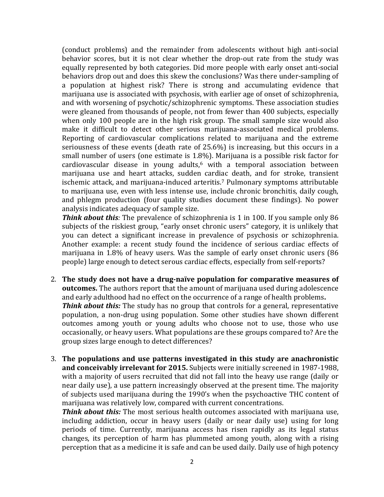(conduct problems) and the remainder from adolescents without high anti-social behavior scores, but it is not clear whether the drop-out rate from the study was equally represented by both categories. Did more people with early onset anti-social behaviors drop out and does this skew the conclusions? Was there under-sampling of a population at highest risk? There is strong and accumulating evidence that marijuana use is associated with psychosis, with earlier age of onset of schizophrenia, and with worsening of psychotic/schizophrenic symptoms. These association studies were gleaned from thousands of people, not from fewer than 400 subjects, especially when only 100 people are in the high risk group. The small sample size would also make it difficult to detect other serious marijuana-associated medical problems. Reporting of cardiovascular complications related to marijuana and the extreme seriousness of these events (death rate of 25.6%) is increasing, but this occurs in a small number of users (one estimate is 1.8%). Marijuana is a possible risk factor for cardiovascular disease in young adults, <sup>6</sup> with a temporal association between marijuana use and heart attacks, sudden cardiac death, and for stroke, transient ischemic attack, and marijuana-induced arteritis. <sup>7</sup> Pulmonary symptoms attributable to marijuana use, even with less intense use, include chronic bronchitis, daily cough, and phlegm production (four quality studies document these findings). No power analysis indicates adequacy of sample size.

**Think about this**: The prevalence of schizophrenia is 1 in 100. If you sample only 86 subjects of the riskiest group, "early onset chronic users" category, it is unlikely that you can detect a significant increase in prevalence of psychosis or schizophrenia. Another example: a recent study found the incidence of serious cardiac effects of marijuana in 1.8% of heavy users. Was the sample of early onset chronic users (86 people) large enough to detect serous cardiac effects, especially from self-reports?

- 2. **The study does not have a drug-naïve population for comparative measures of outcomes.** The authors report that the amount of marijuana used during adolescence and early adulthood had no effect on the occurrence of a range of health problems**.**  *Think about this:* The study has no group that controls for a general, representative population, a non-drug using population. Some other studies have shown different outcomes among youth or young adults who choose not to use, those who use occasionally, or heavy users. What populations are these groups compared to? Are the group sizes large enough to detect differences?
- 3. **The populations and use patterns investigated in this study are anachronistic and conceivably irrelevant for 2015.** Subjects were initially screened in 1987-1988, with a majority of users recruited that did not fall into the heavy use range (daily or near daily use), a use pattern increasingly observed at the present time. The majority of subjects used marijuana during the 1990's when the psychoactive THC content of marijuana was relatively low, compared with current concentrations.

*Think about this:* The most serious health outcomes associated with marijuana use, including addiction, occur in heavy users (daily or near daily use) using for long periods of time. Currently, marijuana access has risen rapidly as its legal status changes, its perception of harm has plummeted among youth, along with a rising perception that as a medicine it is safe and can be used daily. Daily use of high potency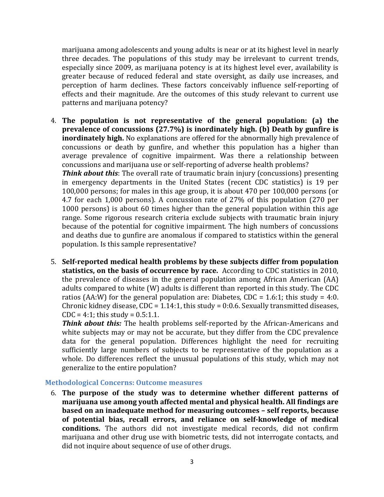marijuana among adolescents and young adults is near or at its highest level in nearly three decades. The populations of this study may be irrelevant to current trends, especially since 2009, as marijuana potency is at its highest level ever, availability is greater because of reduced federal and state oversight, as daily use increases, and perception of harm declines. These factors conceivably influence self-reporting of effects and their magnitude. Are the outcomes of this study relevant to current use patterns and marijuana potency?

4. **The population is not representative of the general population: (a) the prevalence of concussions (27.7%) is inordinately high. (b) Death by gunfire is inordinately high.** No explanations are offered for the abnormally high prevalence of concussions or death by gunfire, and whether this population has a higher than average prevalence of cognitive impairment. Was there a relationship between concussions and marijuana use or self-reporting of adverse health problems?

*Think about this:* The overall rate of traumatic brain injury (concussions) presenting in emergency departments in the United States (recent CDC statistics) is 19 per 100,000 persons; for males in this age group, it is about 470 per 100,000 persons (or 4.7 for each 1,000 persons). A concussion rate of 27% of this population (270 per 1000 persons) is about 60 times higher than the general population within this age range. Some rigorous research criteria exclude subjects with traumatic brain injury because of the potential for cognitive impairment. The high numbers of concussions and deaths due to gunfire are anomalous if compared to statistics within the general population. Is this sample representative?

5. **Self-reported medical health problems by these subjects differ from population statistics, on the basis of occurrence by race.** According to CDC statistics in 2010, the prevalence of diseases in the general population among African American (AA) adults compared to white (W) adults is different than reported in this study. The CDC ratios (AA:W) for the general population are: Diabetes, CDC =  $1.6:1$ ; this study =  $4:0$ . Chronic kidney disease,  $CDC = 1.14:1$ , this study = 0:0.6. Sexually transmitted diseases,  $CDC = 4:1$ ; this study =  $0.5:1.1$ .

*Think about this:* The health problems self-reported by the African-Americans and white subjects may or may not be accurate, but they differ from the CDC prevalence data for the general population. Differences highlight the need for recruiting sufficiently large numbers of subjects to be representative of the population as a whole. Do differences reflect the unusual populations of this study, which may not generalize to the entire population?

#### **Methodological Concerns: Outcome measures**

6. **The purpose of the study was to determine whether different patterns of marijuana use among youth affected mental and physical health. All findings are based on an inadequate method for measuring outcomes – self reports, because of potential bias, recall errors, and reliance on self-knowledge of medical conditions.** The authors did not investigate medical records, did not confirm marijuana and other drug use with biometric tests, did not interrogate contacts, and did not inquire about sequence of use of other drugs.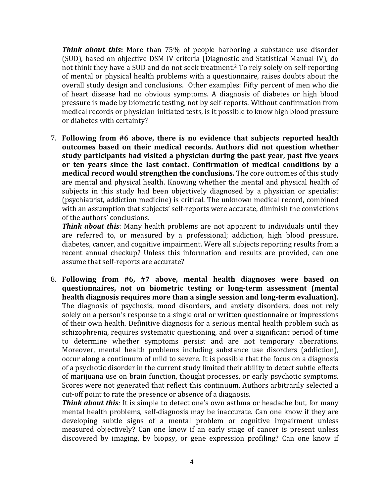*Think about this***:** More than 75% of people harboring a substance use disorder (SUD), based on objective DSM-IV criteria (Diagnostic and Statistical Manual-IV), do not think they have a SUD and do not seek treatment. <sup>2</sup> To rely solely on self-reporting of mental or physical health problems with a questionnaire, raises doubts about the overall study design and conclusions. Other examples: Fifty percent of men who die of heart disease had no obvious symptoms. A diagnosis of diabetes or high blood pressure is made by biometric testing, not by self-reports. Without confirmation from medical records or physician-initiated tests, is it possible to know high blood pressure or diabetes with certainty?

7. **Following from #6 above, there is no evidence that subjects reported health outcomes based on their medical records. Authors did not question whether study participants had visited a physician during the past year, past five years or ten years since the last contact. Confirmation of medical conditions by a medical record would strengthen the conclusions.** The core outcomes of this study are mental and physical health. Knowing whether the mental and physical health of subjects in this study had been objectively diagnosed by a physician or specialist (psychiatrist, addiction medicine) is critical. The unknown medical record, combined with an assumption that subjects' self-reports were accurate, diminish the convictions of the authors' conclusions.

**Think about this**: Many health problems are not apparent to individuals until they are referred to, or measured by a professional; addiction, high blood pressure, diabetes, cancer, and cognitive impairment. Were all subjects reporting results from a recent annual checkup? Unless this information and results are provided, can one assume that self-reports are accurate?

8. **Following from #6, #7 above, mental health diagnoses were based on questionnaires, not on biometric testing or long-term assessment (mental health diagnosis requires more than a single session and long-term evaluation).**  The diagnosis of psychosis, mood disorders, and anxiety disorders, does not rely solely on a person's response to a single oral or written questionnaire or impressions of their own health. Definitive diagnosis for a serious mental health problem such as schizophrenia, requires systematic questioning, and over a significant period of time to determine whether symptoms persist and are not temporary aberrations. Moreover, mental health problems including substance use disorders (addiction), occur along a continuum of mild to severe. It is possible that the focus on a diagnosis of a psychotic disorder in the current study limited their ability to detect subtle effects of marijuana use on brain function, thought processes, or early psychotic symptoms. Scores were not generated that reflect this continuum. Authors arbitrarily selected a cut-off point to rate the presence or absence of a diagnosis.

*Think about this*: It is simple to detect one's own asthma or headache but, for many mental health problems, self-diagnosis may be inaccurate. Can one know if they are developing subtle signs of a mental problem or cognitive impairment unless measured objectively? Can one know if an early stage of cancer is present unless discovered by imaging, by biopsy, or gene expression profiling? Can one know if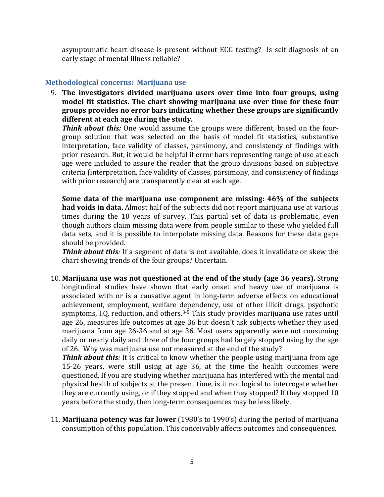asymptomatic heart disease is present without ECG testing? Is self-diagnosis of an early stage of mental illness reliable?

### **Methodological concerns: Marijuana use**

9. **The investigators divided marijuana users over time into four groups, using model fit statistics. The chart showing marijuana use over time for these four groups provides no error bars indicating whether these groups are significantly different at each age during the study.**

*Think about this:* One would assume the groups were different, based on the fourgroup solution that was selected on the basis of model fit statistics, substantive interpretation, face validity of classes, parsimony, and consistency of findings with prior research. But, it would be helpful if error bars representing range of use at each age were included to assure the reader that the group divisions based on subjective criteria (interpretation, face validity of classes, parsimony, and consistency of findings with prior research) are transparently clear at each age.

**Some data of the marijuana use component are missing: 46% of the subjects had voids in data.** Almost half of the subjects did not report marijuana use at various times during the 10 years of survey. This partial set of data is problematic, even though authors claim missing data were from people similar to those who yielded full data sets, and it is possible to interpolate missing data. Reasons for these data gaps should be provided.

*Think about this:* If a segment of data is not available, does it invalidate or skew the chart showing trends of the four groups? Uncertain.

10. **Marijuana use was not questioned at the end of the study (age 36 years).** Strong longitudinal studies have shown that early onset and heavy use of marijuana is associated with or is a causative agent in long-term adverse effects on educational achievement, employment, welfare dependency, use of other illicit drugs, psychotic symptoms, I.Q. reduction, and others. 3-5 This study provides marijuana use rates until age 26, measures life outcomes at age 36 but doesn't ask subjects whether they used marijuana from age 26-36 and at age 36. Most users apparently were not consuming daily or nearly daily and three of the four groups had largely stopped using by the age of 26. Why was marijuana use not measured at the end of the study?

*Think about this*: It is critical to know whether the people using marijuana from age 15-26 years, were still using at age 36, at the time the health outcomes were questioned. If you are studying whether marijuana has interfered with the mental and physical health of subjects at the present time, is it not logical to interrogate whether they are currently using, or if they stopped and when they stopped? If they stopped 10 years before the study, then long-term consequences may be less likely.

11. **Marijuana potency was far lower** (1980's to 1990's) during the period of marijuana consumption of this population. This conceivably affects outcomes and consequences.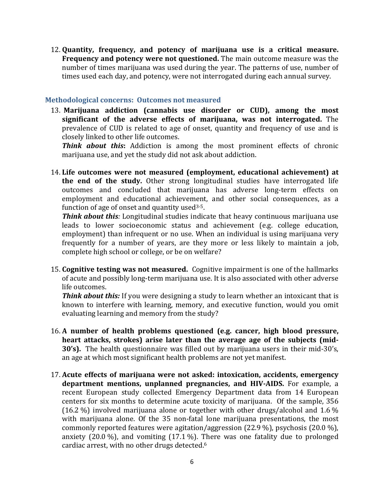12. **Quantity, frequency, and potency of marijuana use is a critical measure. Frequency and potency were not questioned.** The main outcome measure was the number of times marijuana was used during the year. The patterns of use, number of times used each day, and potency, were not interrogated during each annual survey.

### **Methodological concerns: Outcomes not measured**

13. **Marijuana addiction (cannabis use disorder or CUD), among the most significant of the adverse effects of marijuana, was not interrogated.** The prevalence of CUD is related to age of onset, quantity and frequency of use and is closely linked to other life outcomes.

**Think about this:** Addiction is among the most prominent effects of chronic marijuana use, and yet the study did not ask about addiction.

14. **Life outcomes were not measured (employment, educational achievement) at the end of the study.** Other strong longitudinal studies have interrogated life outcomes and concluded that marijuana has adverse long-term effects on employment and educational achievement, and other social consequences, as a function of age of onset and quantity used $3-5$ .

*Think about this:* Longitudinal studies indicate that heavy continuous marijuana use leads to lower socioeconomic status and achievement (e.g. college education, employment) than infrequent or no use. When an individual is using marijuana very frequently for a number of years, are they more or less likely to maintain a job, complete high school or college, or be on welfare?

15. **Cognitive testing was not measured.** Cognitive impairment is one of the hallmarks of acute and possibly long-term marijuana use. It is also associated with other adverse life outcomes.

*Think about this:* If you were designing a study to learn whether an intoxicant that is known to interfere with learning, memory, and executive function, would you omit evaluating learning and memory from the study?

- 16. **A number of health problems questioned (e.g. cancer, high blood pressure, heart attacks, strokes) arise later than the average age of the subjects (mid-30's).** The health questionnaire was filled out by marijuana users in their mid-30's, an age at which most significant health problems are not yet manifest.
- 17. **Acute effects of marijuana were not asked: intoxication, accidents, emergency department mentions, unplanned pregnancies, and HIV-AIDS.** For example, a recent European study collected Emergency Department data from 14 European centers for six months to determine acute toxicity of marijuana. Of the sample, 356 (16.2 %) involved marijuana alone or together with other drugs/alcohol and 1.6 % with marijuana alone. Of the 35 non-fatal lone marijuana presentations, the most commonly reported features were agitation/aggression (22.9 %), psychosis (20.0 %), anxiety  $(20.0\%)$ , and vomiting  $(17.1\%)$ . There was one fatality due to prolonged cardiac arrest, with no other drugs detected.6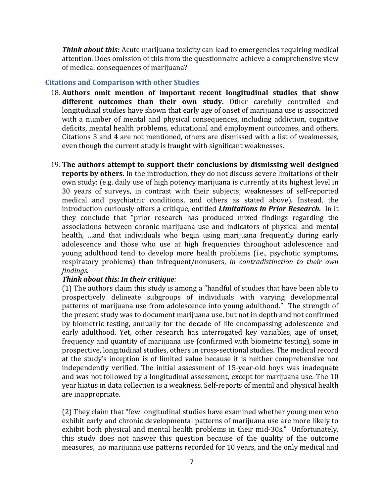*Think about this:* Acute marijuana toxicity can lead to emergencies requiring medical attention. Does omission of this from the questionnaire achieve a comprehensive view of medical consequences of marijuana?

### **Citations and Comparison with other Studies**

- 18. **Authors omit mention of important recent longitudinal studies that show different outcomes than their own study.** Other carefully controlled and longitudinal studies have shown that early age of onset of marijuana use is associated with a number of mental and physical consequences, including addiction, cognitive deficits, mental health problems, educational and employment outcomes, and others. Citations 3 and 4 are not mentioned, others are dismissed with a list of weaknesses, even though the current study is fraught with significant weaknesses.
- 19. **The authors attempt to support their conclusions by dismissing well designed reports by others.** In the introduction, they do not discuss severe limitations of their own study: (e.g. daily use of high potency marijuana is currently at its highest level in 30 years of surveys, in contrast with their subjects; weaknesses of self-reported medical and psychiatric conditions, and others as stated above). Instead, the introduction curiously offers a critique, entitled *Limitations in Prior Research.* In it they conclude that "prior research has produced mixed findings regarding the associations between chronic marijuana use and indicators of physical and mental health, …and that individuals who begin using marijuana frequently during early adolescence and those who use at high frequencies throughout adolescence and young adulthood tend to develop more health problems (i.e., psychotic symptoms, respiratory problems) than infrequent/nonusers, *in contradistinction to their own findings.*

## *Think about this: In their critique:*

(1) The authors claim this study is among a "handful of studies that have been able to prospectively delineate subgroups of individuals with varying developmental patterns of marijuana use from adolescence into young adulthood." The strength of the present study was to document marijuana use, but not in depth and not confirmed by biometric testing, annually for the decade of life encompassing adolescence and early adulthood. Yet, other research has interrogated key variables, age of onset, frequency and quantity of marijuana use (confirmed with biometric testing), some in prospective, longitudinal studies, others in cross-sectional studies. The medical record at the study's inception is of limited value because it is neither comprehensive nor independently verified. The initial assessment of 15-year-old boys was inadequate and was not followed by a longitudinal assessment, except for marijuana use. The 10 year hiatus in data collection is a weakness. Self-reports of mental and physical health are inappropriate.

(2) They claim that "few longitudinal studies have examined whether young men who exhibit early and chronic developmental patterns of marijuana use are more likely to exhibit both physical and mental health problems in their mid-30s." Unfortunately, this study does not answer this question because of the quality of the outcome measures, no marijuana use patterns recorded for 10 years, and the only medical and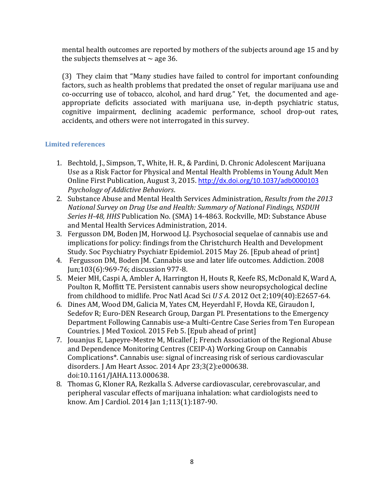mental health outcomes are reported by mothers of the subjects around age 15 and by the subjects themselves at  $\sim$  age 36.

(3) They claim that "Many studies have failed to control for important confounding factors, such as health problems that predated the onset of regular marijuana use and co-occurring use of tobacco, alcohol, and hard drug." Yet, the documented and ageappropriate deficits associated with marijuana use, in-depth psychiatric status, cognitive impairment, declining academic performance, school drop-out rates, accidents, and others were not interrogated in this survey.

# **Limited references**

- 1. Bechtold, J., Simpson, T., White, H. R., & Pardini, D. Chronic Adolescent Marijuana Use as a Risk Factor for Physical and Mental Health Problems in Young Adult Men Online First Publication, August 3, 2015. <http://dx.doi.org/10.1037/adb0000103> *Psychology of Addictive Behaviors*.
- 2. Substance Abuse and Mental Health Services Administration, *Results from the 2013 National Survey on Drug Use and Health: Summary of National Findings, NSDUH Series H-48, HHS* Publication No. (SMA) 14-4863. Rockville, MD: Substance Abuse and Mental Health Services Administration, 2014.
- 3. Fergusson DM, Boden JM, Horwood LJ. Psychosocial sequelae of cannabis use and implications for policy: findings from the Christchurch Health and Development Study. Soc Psychiatry Psychiatr Epidemiol. 2015 May 26. [Epub ahead of print]
- 4. Fergusson DM, Boden JM. Cannabis use and later life outcomes. Addiction. 2008 Jun;103(6):969-76; discussion 977-8.
- 5. Meier MH, Caspi A, Ambler A, Harrington H, Houts R, Keefe RS, McDonald K, Ward A, Poulton R, Moffitt TE. Persistent cannabis users show neuropsychological decline from childhood to midlife. Proc Natl Acad Sci *U S A.* 2012 Oct 2;109(40):E2657-64.
- 6. Dines AM, Wood DM, Galicia M, Yates CM, Heyerdahl F, Hovda KE, Giraudon I, Sedefov R; Euro-DEN Research Group, Dargan PI. Presentations to the Emergency Department Following Cannabis use-a Multi-Centre Case Series from Ten European Countries. J Med Toxicol. 2015 Feb 5. [Epub ahead of print]
- 7. Jouanjus E, Lapeyre-Mestre M, Micallef J; French Association of the Regional Abuse and Dependence Monitoring Centres (CEIP-A) Working Group on Cannabis Complications\*. Cannabis use: signal of increasing risk of serious cardiovascular disorders. J Am Heart Assoc. 2014 Apr 23;3(2):e000638. doi:10.1161/JAHA.113.000638.
- 8. Thomas G, Kloner RA, Rezkalla S. Adverse cardiovascular, cerebrovascular, and peripheral vascular effects of marijuana inhalation: what cardiologists need to know. Am J Cardiol. 2014 Jan 1;113(1):187-90.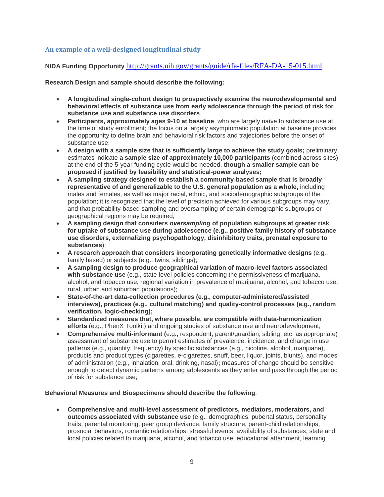### **An example of a well-designed longitudinal study**

**NIDA Funding Opportunity** <http://grants.nih.gov/grants/guide/rfa-files/RFA-DA-15-015.html>

#### **Research Design and sample should describe the following:**

- **A longitudinal single-cohort design to prospectively examine the neurodevelopmental and behavioral effects of substance use from early adolescence through the period of risk for substance use and substance use disorders**.
- **Participants, approximately ages 9-10 at baseline**, who are largely naïve to substance use at the time of study enrollment; the focus on a largely asymptomatic population at baseline provides the opportunity to define brain and behavioral risk factors and trajectories before the onset of substance use;
- **A design with a sample size that is sufficiently large to achieve the study goals;** preliminary estimates indicate **a sample size of approximately 10,000 participants** (combined across sites) at the end of the 5-year funding cycle would be needed, **though a smaller sample can be proposed if justified by feasibility and statistical-power analyses;**
- **A sampling strategy designed to establish a community-based sample that is broadly representative of and generalizable to the U.S. general population as a whole,** including males and females, as well as major racial, ethnic, and sociodemographic subgroups of the population; it is recognized that the level of precision achieved for various subgroups may vary, and that probability-based sampling and oversampling of certain demographic subgroups or geographical regions may be required;
- **A sampling design that considers** *oversampling* **of population subgroups at greater risk for uptake of substance use during adolescence (e.g., positive family history of substance use disorders, externalizing psychopathology, disinhibitory traits, prenatal exposure to substances**);
- **A research approach that considers incorporating genetically informative designs** (e.g., family based) or subjects (e.g., twins, siblings);
- **A sampling design to produce geographical variation of macro-level factors associated with substance use** (e.g., state-level policies concerning the permissiveness of marijuana, alcohol, and tobacco use; regional variation in prevalence of marijuana, alcohol, and tobacco use; rural, urban and suburban populations);
- **State-of-the-art data-collection procedures (e.g., computer-administered/assisted interviews), practices (e.g., cultural matching) and quality-control processes (e.g., random verification, logic-checking);**
- **Standardized measures that, where possible, are compatible with data-harmonization efforts** (e.g., PhenX Toolkit) and ongoing studies of substance use and neurodevelopment;
- **Comprehensive multi-informant (**e.g., respondent, parent/guardian, sibling, etc. as appropriate) assessment of substance use to permit estimates of prevalence, incidence, and change in use patterns (e.g., quantity, frequency) by specific substances (e.g., nicotine, alcohol, marijuana), products and product types (cigarettes, e-cigarettes, snuff, beer, liquor, joints, blunts), and modes of administration (e.g., inhalation, oral, drinking, nasal)**;** measures of change should be sensitive enough to detect dynamic patterns among adolescents as they enter and pass through the period of risk for substance use;

#### **Behavioral Measures and Biospecimens should describe the following**:

• **Comprehensive and multi-level assessment of predictors, mediators, moderators, and outcomes associated with substance use** (e.g., demographics, pubertal status, personality traits, parental monitoring, peer group deviance, family structure, parent-child relationships, prosocial behaviors, romantic relationships, stressful events, availability of substances, state and local policies related to marijuana, alcohol, and tobacco use, educational attainment, learning